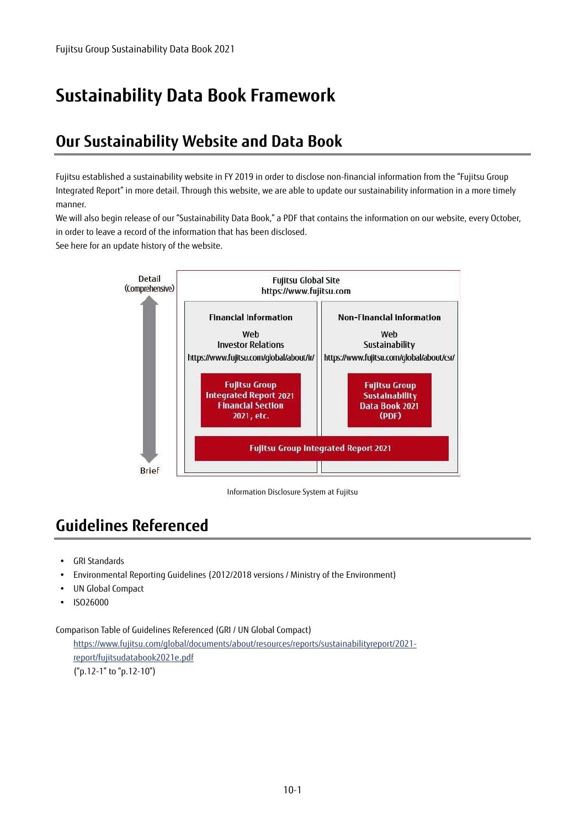# **Sustainability Data Book Framework**

#### **Our Sustainability Website and Data Book**

Fujitsu established a sustainability website in FY 2019 in order to disclose non-financial information from the "Fujitsu Group Integrated Report" in more detail. Through this website, we are able to update our sustainability information in a more timely manner.

We will also begin release of our "Sustainability Data Book," a PDF that contains the information on our website, every October, in order to leave a record of the information that has been disclosed.

See here for an update history of the website.



Information Disclosure System at Fujitsu

### **Guidelines Referenced**

- GRI Standards
- Environmental Reporting Guidelines (2012/2018 versions / Ministry of the Environment)
- UN Global Compact
- ISO26000

Comparison Table of Guidelines Referenced (GRI / UN Global Compact)

https://www.fujitsu.com/global/documents/about/resources/reports/sustainabilityreport/2021 report/fujitsudatabook2021e.pdf ("p.12-1" to "p.12-10")